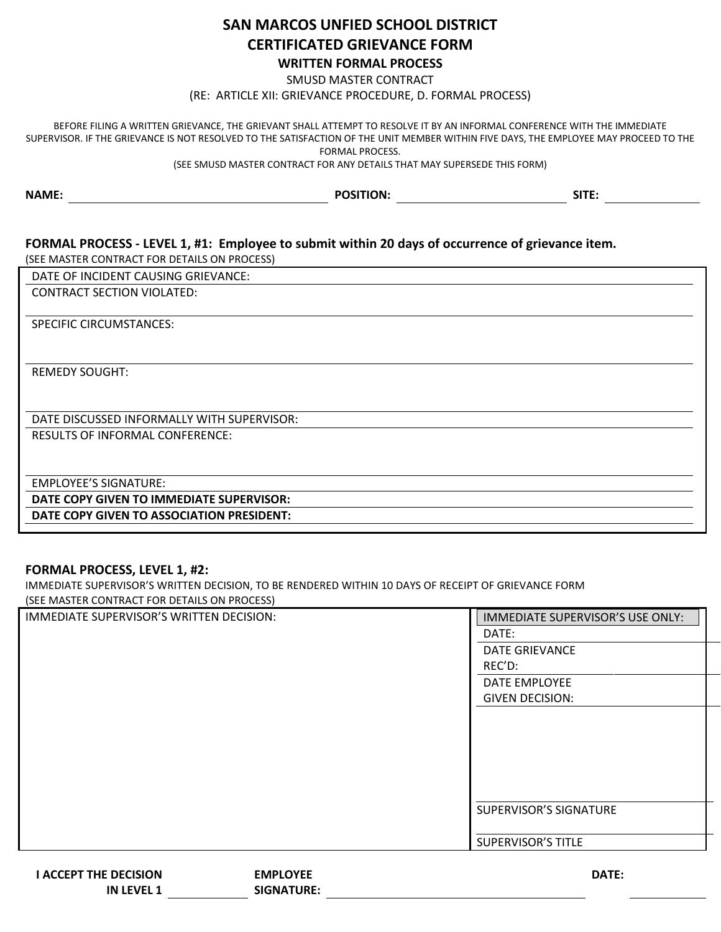## **SAN MARCOS UNFIED SCHOOL DISTRICT CERTIFICATED GRIEVANCE FORM WRITTEN FORMAL PROCESS**

SMUSD MASTER CONTRACT

(RE: ARTICLE XII: GRIEVANCE PROCEDURE, D. FORMAL PROCESS)

BEFORE FILING A WRITTEN GRIEVANCE, THE GRIEVANT SHALL ATTEMPT TO RESOLVE IT BY AN INFORMAL CONFERENCE WITH THE IMMEDIATE SUPERVISOR. IF THE GRIEVANCE IS NOT RESOLVED TO THE SATISFACTION OF THE UNIT MEMBER WITHIN FIVE DAYS, THE EMPLOYEE MAY PROCEED TO THE FORMAL PROCESS.

(SEE SMUSD MASTER CONTRACT FOR ANY DETAILS THAT MAY SUPERSEDE THIS FORM)

| <b>NAME:</b> | <b>POSITION:</b> | SITE: |  |
|--------------|------------------|-------|--|
|              |                  |       |  |

## **FORMAL PROCESS - LEVEL 1, #1: Employee to submit within 20 days of occurrence of grievance item.**

(SEE MASTER CONTRACT FOR DETAILS ON PROCESS)

DATE OF INCIDENT CAUSING GRIEVANCE:

CONTRACT SECTION VIOLATED:

SPECIFIC CIRCUMSTANCES:

REMEDY SOUGHT:

DATE DISCUSSED INFORMALLY WITH SUPERVISOR:

RESULTS OF INFORMAL CONFERENCE:

EMPLOYEE'S SIGNATURE:

**DATE COPY GIVEN TO IMMEDIATE SUPERVISOR:**

**DATE COPY GIVEN TO ASSOCIATION PRESIDENT:**

## **FORMAL PROCESS, LEVEL 1, #2:**

IMMEDIATE SUPERVISOR'S WRITTEN DECISION, TO BE RENDERED WITHIN 10 DAYS OF RECEIPT OF GRIEVANCE FORM (SEE MASTER CONTRACT FOR DETAILS ON PROCESS)

**SIGNATURE:**

| IMMEDIATE SUPERVISOR'S WRITTEN DECISION: |                 | IMMEDIATE SUPERVISOR'S USE ONLY: |
|------------------------------------------|-----------------|----------------------------------|
|                                          |                 | DATE:                            |
|                                          |                 | <b>DATE GRIEVANCE</b>            |
|                                          |                 | REC'D:                           |
|                                          |                 | DATE EMPLOYEE                    |
|                                          |                 | <b>GIVEN DECISION:</b>           |
|                                          |                 |                                  |
|                                          |                 |                                  |
|                                          |                 |                                  |
|                                          |                 |                                  |
|                                          |                 |                                  |
|                                          |                 |                                  |
|                                          |                 | SUPERVISOR'S SIGNATURE           |
|                                          |                 |                                  |
|                                          |                 | <b>SUPERVISOR'S TITLE</b>        |
|                                          |                 |                                  |
| <b>I ACCEPT THE DECISION</b>             | <b>EMPLOYEE</b> | DATE:                            |